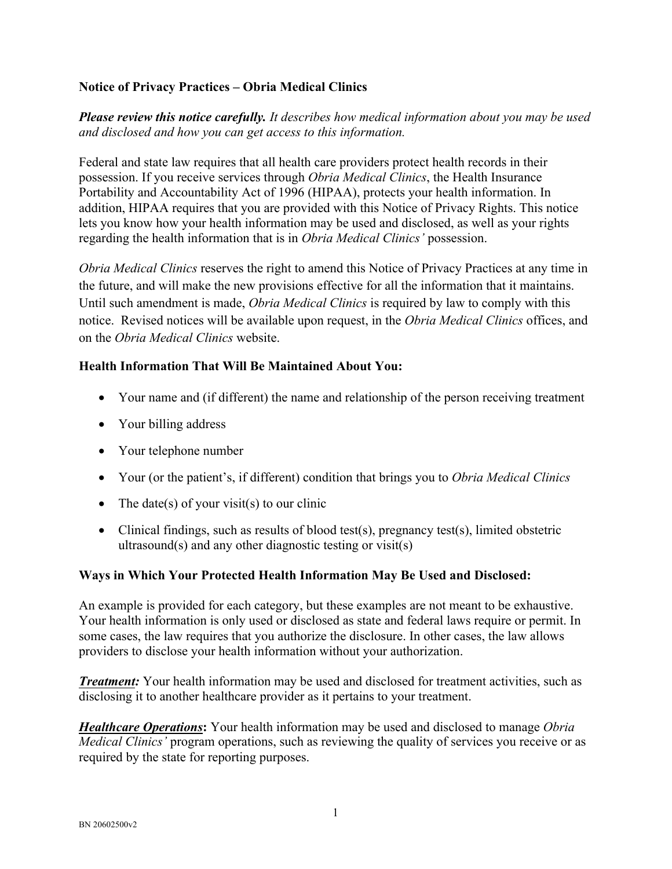### **Notice of Privacy Practices – Obria Medical Clinics**

*Please review this notice carefully. It describes how medical information about you may be used and disclosed and how you can get access to this information.* 

Federal and state law requires that all health care providers protect health records in their possession. If you receive services through *Obria Medical Clinics*, the Health Insurance Portability and Accountability Act of 1996 (HIPAA), protects your health information. In addition, HIPAA requires that you are provided with this Notice of Privacy Rights. This notice lets you know how your health information may be used and disclosed, as well as your rights regarding the health information that is in *Obria Medical Clinics'* possession.

*Obria Medical Clinics* reserves the right to amend this Notice of Privacy Practices at any time in the future, and will make the new provisions effective for all the information that it maintains. Until such amendment is made, *Obria Medical Clinics* is required by law to comply with this notice. Revised notices will be available upon request, in the *Obria Medical Clinics* offices, and on the *Obria Medical Clinics* website.

## **Health Information That Will Be Maintained About You:**

- Your name and (if different) the name and relationship of the person receiving treatment
- Your billing address
- Your telephone number
- Your (or the patient's, if different) condition that brings you to *Obria Medical Clinics*
- The date(s) of your visit(s) to our clinic
- Clinical findings, such as results of blood test(s), pregnancy test(s), limited obstetric ultrasound(s) and any other diagnostic testing or visit(s)

#### **Ways in Which Your Protected Health Information May Be Used and Disclosed:**

An example is provided for each category, but these examples are not meant to be exhaustive. Your health information is only used or disclosed as state and federal laws require or permit. In some cases, the law requires that you authorize the disclosure. In other cases, the law allows providers to disclose your health information without your authorization.

*Treatment:* Your health information may be used and disclosed for treatment activities, such as disclosing it to another healthcare provider as it pertains to your treatment.

*Healthcare Operations***:** Your health information may be used and disclosed to manage *Obria Medical Clinics'* program operations, such as reviewing the quality of services you receive or as required by the state for reporting purposes.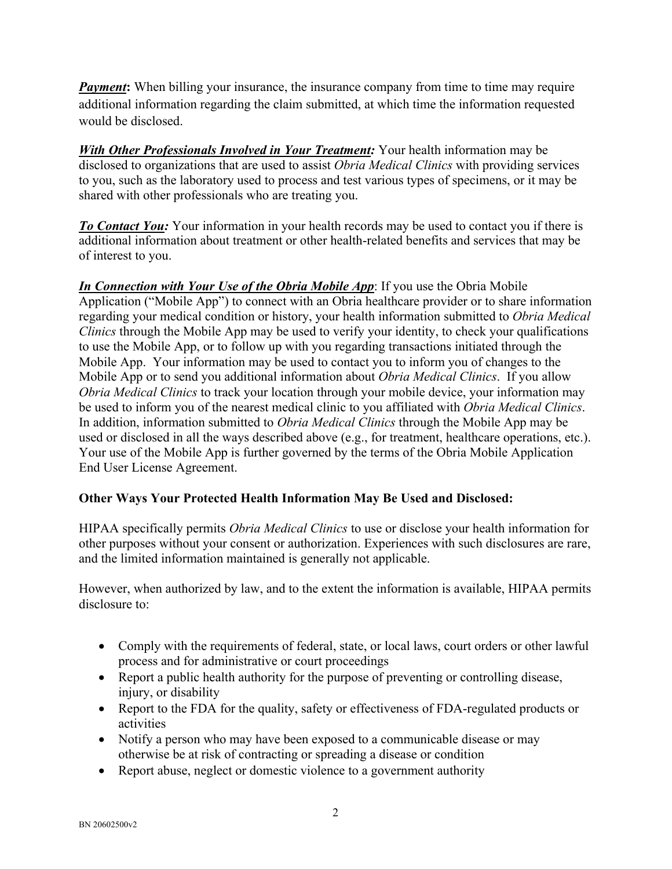*Payment*: When billing your insurance, the insurance company from time to time may require additional information regarding the claim submitted, at which time the information requested would be disclosed.

*With Other Professionals Involved in Your Treatment:* Your health information may be disclosed to organizations that are used to assist *Obria Medical Clinics* with providing services to you, such as the laboratory used to process and test various types of specimens, or it may be shared with other professionals who are treating you.

**To Contact You:** Your information in your health records may be used to contact you if there is additional information about treatment or other health-related benefits and services that may be of interest to you.

*In Connection with Your Use of the Obria Mobile App*: If you use the Obria Mobile Application ("Mobile App") to connect with an Obria healthcare provider or to share information regarding your medical condition or history, your health information submitted to *Obria Medical Clinics* through the Mobile App may be used to verify your identity, to check your qualifications to use the Mobile App, or to follow up with you regarding transactions initiated through the Mobile App. Your information may be used to contact you to inform you of changes to the Mobile App or to send you additional information about *Obria Medical Clinics*. If you allow *Obria Medical Clinics* to track your location through your mobile device, your information may be used to inform you of the nearest medical clinic to you affiliated with *Obria Medical Clinics*. In addition, information submitted to *Obria Medical Clinics* through the Mobile App may be used or disclosed in all the ways described above (e.g., for treatment, healthcare operations, etc.). Your use of the Mobile App is further governed by the terms of the Obria Mobile Application End User License Agreement.

# **Other Ways Your Protected Health Information May Be Used and Disclosed:**

HIPAA specifically permits *Obria Medical Clinics* to use or disclose your health information for other purposes without your consent or authorization. Experiences with such disclosures are rare, and the limited information maintained is generally not applicable.

However, when authorized by law, and to the extent the information is available, HIPAA permits disclosure to:

- Comply with the requirements of federal, state, or local laws, court orders or other lawful process and for administrative or court proceedings
- Report a public health authority for the purpose of preventing or controlling disease, injury, or disability
- Report to the FDA for the quality, safety or effectiveness of FDA-regulated products or activities
- Notify a person who may have been exposed to a communicable disease or may otherwise be at risk of contracting or spreading a disease or condition
- Report abuse, neglect or domestic violence to a government authority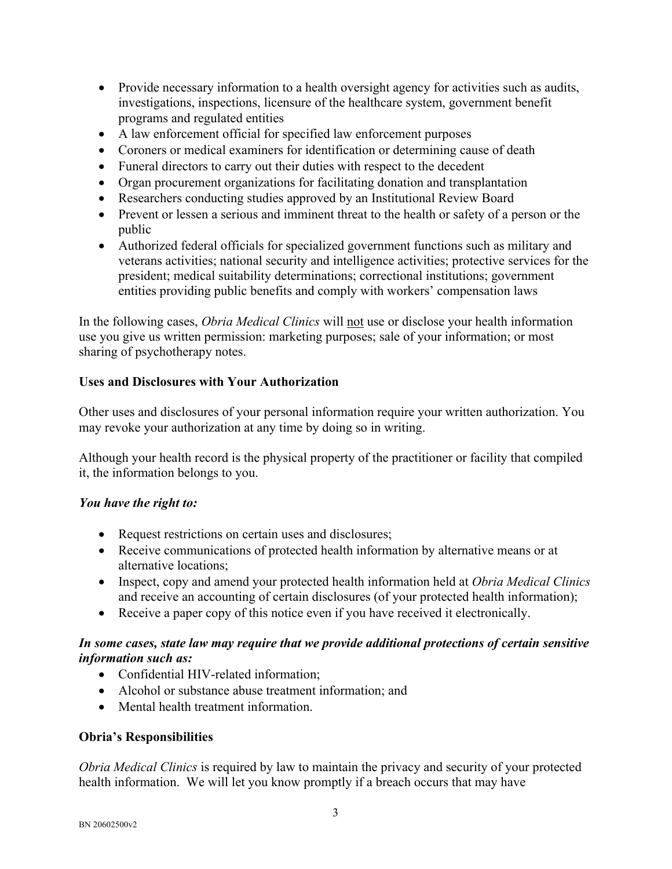- Provide necessary information to a health oversight agency for activities such as audits, investigations, inspections, licensure of the healthcare system, government benefit programs and regulated entities
- A law enforcement official for specified law enforcement purposes
- Coroners or medical examiners for identification or determining cause of death
- Funeral directors to carry out their duties with respect to the decedent
- Organ procurement organizations for facilitating donation and transplantation
- Researchers conducting studies approved by an Institutional Review Board
- Prevent or lessen a serious and imminent threat to the health or safety of a person or the public
- Authorized federal officials for specialized government functions such as military and veterans activities; national security and intelligence activities; protective services for the president; medical suitability determinations; correctional institutions; government entities providing public benefits and comply with workers' compensation laws

In the following cases, *Obria Medical Clinics* will not use or disclose your health information use you give us written permission: marketing purposes; sale of your information; or most sharing of psychotherapy notes.

#### **Uses and Disclosures with Your Authorization**

Other uses and disclosures of your personal information require your written authorization. You may revoke your authorization at any time by doing so in writing.

Although your health record is the physical property of the practitioner or facility that compiled it, the information belongs to you.

#### *You have the right to:*

- Request restrictions on certain uses and disclosures;
- Receive communications of protected health information by alternative means or at alternative locations;
- Inspect, copy and amend your protected health information held at *Obria Medical Clinics*  and receive an accounting of certain disclosures (of your protected health information);
- Receive a paper copy of this notice even if you have received it electronically.

#### *In some cases, state law may require that we provide additional protections of certain sensitive information such as:*

- Confidential HIV-related information;
- Alcohol or substance abuse treatment information; and
- Mental health treatment information.

#### **Obria's Responsibilities**

*Obria Medical Clinics* is required by law to maintain the privacy and security of your protected health information. We will let you know promptly if a breach occurs that may have